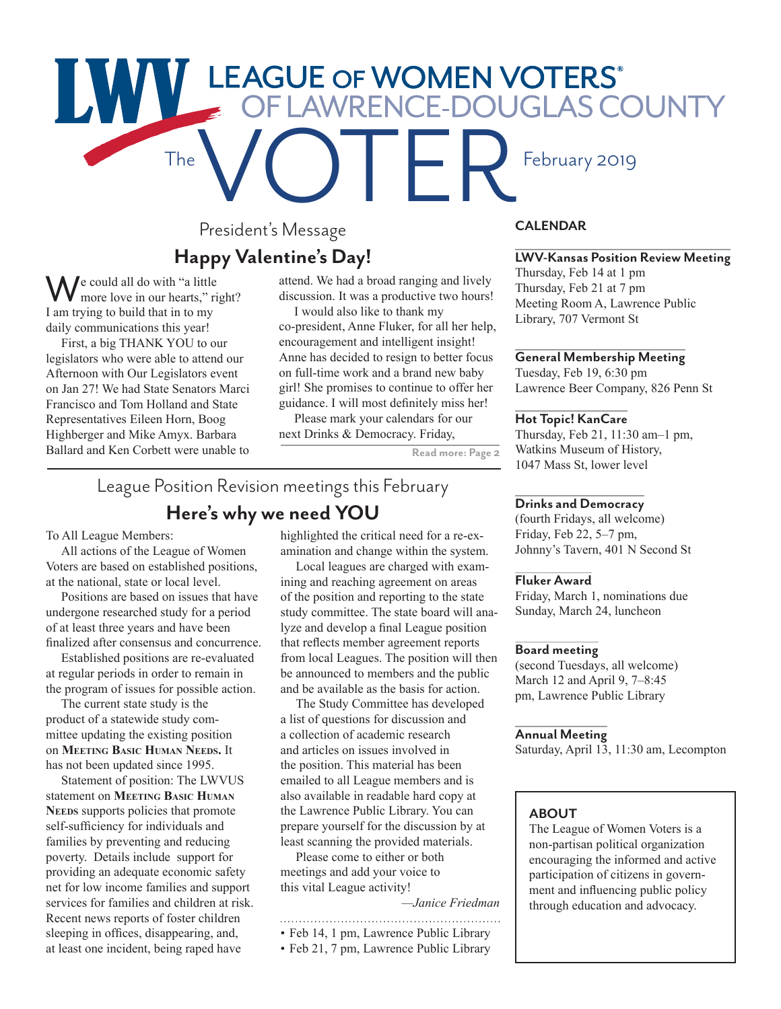# The FAGUE OF WOMEN VOTERS'<br>The FEAMRENCE-DOUGLAS COUNTY

# President's Message **Happy Valentine's Day!**

We could all do with "a little<br>more love in our hearts," right? I am trying to build that in to my daily communications this year!

First, a big THANK YOU to our legislators who were able to attend our Afternoon with Our Legislators event on Jan 27! We had State Senators Marci Francisco and Tom Holland and State Representatives Eileen Horn, Boog Highberger and Mike Amyx. Barbara Ballard and Ken Corbett were unable to attend. We had a broad ranging and lively discussion. It was a productive two hours!

I would also like to thank my co-president, Anne Fluker, for all her help, encouragement and intelligent insight! Anne has decided to resign to better focus on full-time work and a brand new baby girl! She promises to continue to offer her guidance. I will most definitely miss her!

Please mark your calendars for our next Drinks & Democracy. Friday,

**Read more: Page 2**

# League Position Revision meetings this February **Here's why we need YOU**

To All League Members:

All actions of the League of Women Voters are based on established positions, at the national, state or local level.

Positions are based on issues that have undergone researched study for a period of at least three years and have been finalized after consensus and concurrence.

Established positions are re-evaluated at regular periods in order to remain in the program of issues for possible action.

The current state study is the product of a statewide study committee updating the existing position on **Meeting Basic Human Needs.** It has not been updated since 1995.

Statement of position: The LWVUS statement on **Meeting Basic Human** Needs supports policies that promote self-sufficiency for individuals and families by preventing and reducing poverty. Details include support for providing an adequate economic safety net for low income families and support services for families and children at risk. Recent news reports of foster children sleeping in offices, disappearing, and, at least one incident, being raped have

highlighted the critical need for a re-examination and change within the system.

Local leagues are charged with examining and reaching agreement on areas of the position and reporting to the state study committee. The state board will analyze and develop a final League position that reflects member agreement reports from local Leagues. The position will then be announced to members and the public and be available as the basis for action.

The Study Committee has developed a list of questions for discussion and a collection of academic research and articles on issues involved in the position. This material has been emailed to all League members and is also available in readable hard copy at the Lawrence Public Library. You can prepare yourself for the discussion by at least scanning the provided materials.

Please come to either or both meetings and add your voice to this vital League activity!

*—Janice Friedman*

- • Feb 14, 1 pm, Lawrence Public Library
- Feb 21, 7 pm, Lawrence Public Library
- 

### **CALENDAR**

### **LWV-Kansas Position Review Meeting**

Thursday, Feb 14 at 1 pm Thursday, Feb 21 at 7 pm Meeting Room A, Lawrence Public Library, 707 Vermont St

### **General Membership Meeting**

Tuesday, Feb 19, 6:30 pm Lawrence Beer Company, 826 Penn St

### **Hot Topic! KanCare**

Thursday, Feb 21, 11:30 am–1 pm, Watkins Museum of History, 1047 Mass St, lower level

### **Drinks and Democracy**

(fourth Fridays, all welcome) Friday, Feb 22, 5–7 pm, Johnny's Tavern, 401 N Second St

### **Fluker Award**

Friday, March 1, nominations due Sunday, March 24, luncheon

### **Board meeting**

(second Tuesdays, all welcome) March 12 and April 9, 7–8:45 pm, Lawrence Public Library

### **Annual Meeting**

Saturday, April 13, 11:30 am, Lecompton

### **ABOUT**

The League of Women Voters is a non-partisan political organization encouraging the informed and active participation of citizens in government and influencing public policy through education and advocacy.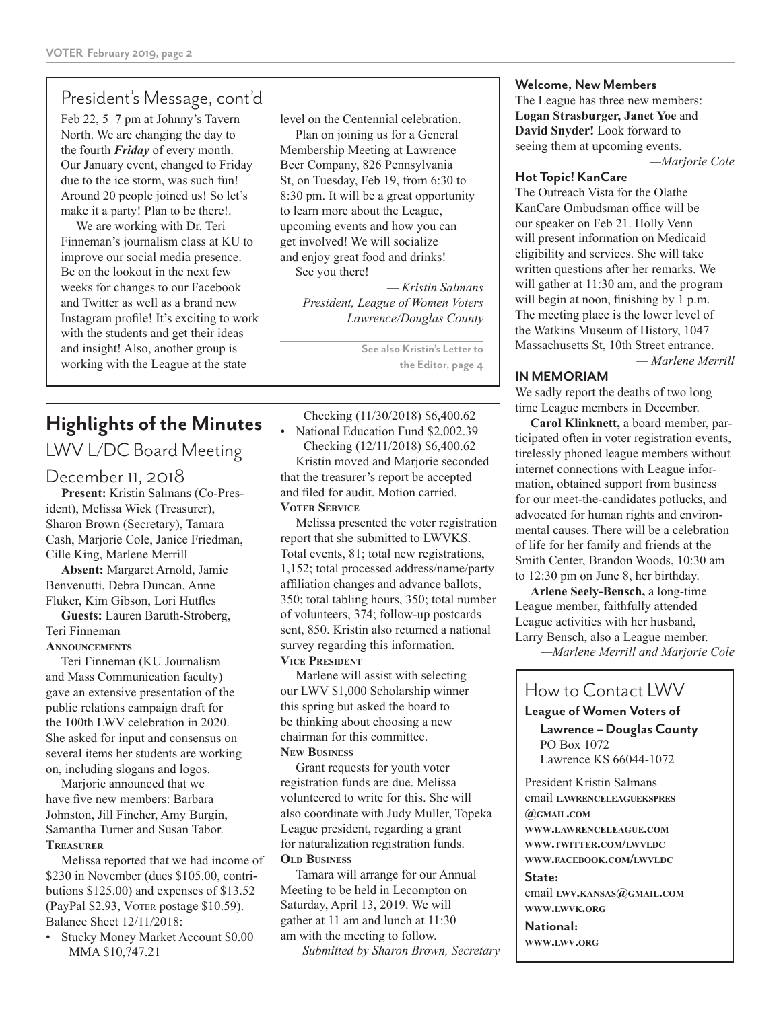## President's Message, cont'd

Feb 22, 5–7 pm at Johnny's Tavern North. We are changing the day to the fourth *Friday* of every month. Our January event, changed to Friday due to the ice storm, was such fun! Around 20 people joined us! So let's make it a party! Plan to be there!.

We are working with Dr. Teri Finneman's journalism class at KU to improve our social media presence. Be on the lookout in the next few weeks for changes to our Facebook and Twitter as well as a brand new Instagram profile! It's exciting to work with the students and get their ideas and insight! Also, another group is working with the League at the state

### level on the Centennial celebration.

Plan on joining us for a General Membership Meeting at Lawrence Beer Company, 826 Pennsylvania St, on Tuesday, Feb 19, from 6:30 to 8:30 pm. It will be a great opportunity to learn more about the League, upcoming events and how you can get involved! We will socialize and enjoy great food and drinks! See you there!

> *— Kristin Salmans President, League of Women Voters Lawrence/Douglas County*

> > **See also Kristin's Letter to the Editor, page 4**

# **Highlights of the Minutes**

# LWV L/DC Board Meeting

### December 11, 2018

**Present:** Kristin Salmans (Co-President), Melissa Wick (Treasurer), Sharon Brown (Secretary), Tamara Cash, Marjorie Cole, Janice Friedman, Cille King, Marlene Merrill

**Absent:** Margaret Arnold, Jamie Benvenutti, Debra Duncan, Anne Fluker, Kim Gibson, Lori Hutfles

**Guests:** Lauren Baruth-Stroberg, Teri Finneman

### **Announcements**

Teri Finneman (KU Journalism and Mass Communication faculty) gave an extensive presentation of the public relations campaign draft for the 100th LWV celebration in 2020. She asked for input and consensus on several items her students are working on, including slogans and logos.

Marjorie announced that we have five new members: Barbara Johnston, Jill Fincher, Amy Burgin, Samantha Turner and Susan Tabor. **Treasurer**

Melissa reported that we had income of \$230 in November (dues \$105.00, contributions \$125.00) and expenses of \$13.52 (PayPal \$2.93, Voter postage \$10.59). Balance Sheet 12/11/2018:

• Stucky Money Market Account \$0.00 MMA \$10,747.21

Checking (11/30/2018) \$6,400.62 • National Education Fund \$2,002.39 Checking (12/11/2018) \$6,400.62

Kristin moved and Marjorie seconded that the treasurer's report be accepted and filed for audit. Motion carried. **Voter Service**

Melissa presented the voter registration report that she submitted to LWVKS. Total events, 81; total new registrations, 1,152; total processed address/name/party affiliation changes and advance ballots, 350; total tabling hours, 350; total number of volunteers, 374; follow-up postcards sent, 850. Kristin also returned a national survey regarding this information. **Vice President**

Marlene will assist with selecting our LWV \$1,000 Scholarship winner this spring but asked the board to be thinking about choosing a new chairman for this committee. **New Business**

Grant requests for youth voter registration funds are due. Melissa volunteered to write for this. She will also coordinate with Judy Muller, Topeka League president, regarding a grant for naturalization registration funds. **Old Business**

Tamara will arrange for our Annual Meeting to be held in Lecompton on Saturday, April 13, 2019. We will gather at 11 am and lunch at 11:30 am with the meeting to follow.

*Submitted by Sharon Brown, Secretary*

### **Welcome, New Members**

The League has three new members: **Logan Strasburger, Janet Yoe** and **David Snyder!** Look forward to seeing them at upcoming events.

*—Marjorie Cole*

### **Hot Topic! KanCare**

The Outreach Vista for the Olathe KanCare Ombudsman office will be our speaker on Feb 21. Holly Venn will present information on Medicaid eligibility and services. She will take written questions after her remarks. We will gather at 11:30 am, and the program will begin at noon, finishing by 1 p.m. The meeting place is the lower level of the Watkins Museum of History, 1047 Massachusetts St, 10th Street entrance.

*— Marlene Merrill*

### **IN MEMORIAM**

We sadly report the deaths of two long time League members in December.

**Carol Klinknett,** a board member, participated often in voter registration events, tirelessly phoned league members without internet connections with League information, obtained support from business for our meet-the-candidates potlucks, and advocated for human rights and environmental causes. There will be a celebration of life for her family and friends at the Smith Center, Brandon Woods, 10:30 am to 12:30 pm on June 8, her birthday.

**Arlene Seely-Bensch,** a long-time League member, faithfully attended League activities with her husband, Larry Bensch, also a League member.

*—Marlene Merrill and Marjorie Cole*

# How to Contact LWV

**League of Women Voters of**

**Lawrence – Douglas County** PO Box 1072 Lawrence KS 66044-1072

President Kristin Salmans email **lawrenceleaguekspres @gmail.com www.lawrenceleague.com www.twitter.com/lwvldc www.facebook.com/lwvldc**

### **State:**

email **lwv.kansas@gmail.com www.lwvk.org**

**National: www.lwv.org**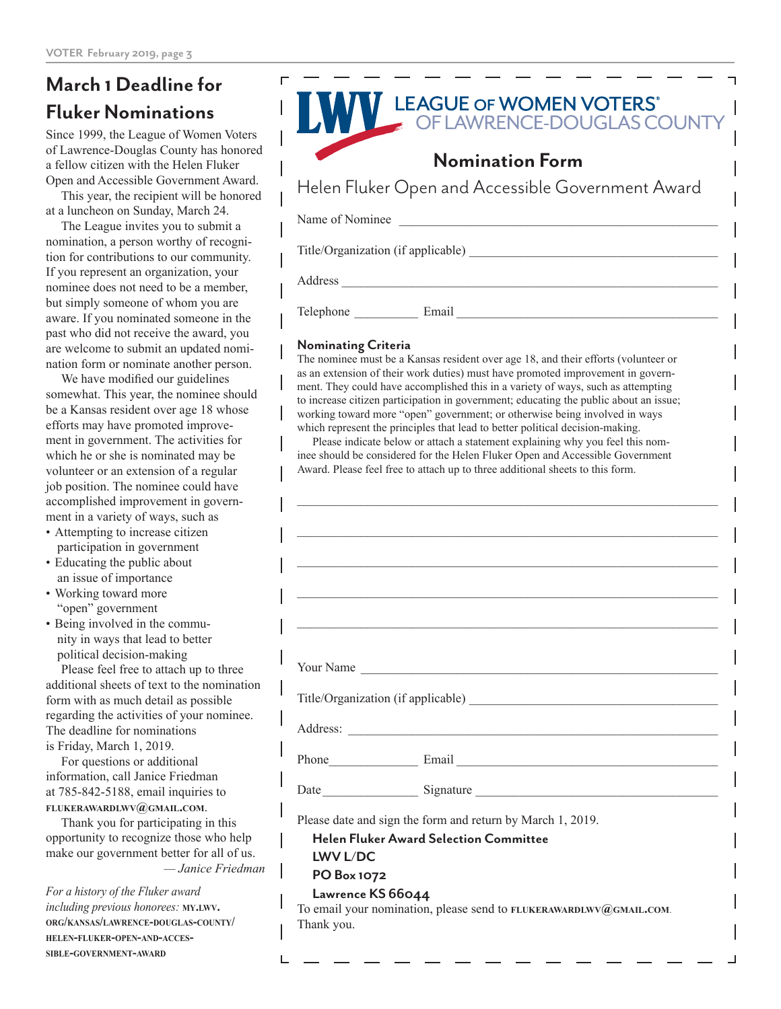# **March 1 Deadline for Fluker Nominations**

Since 1999, the League of Women Voters of Lawrence-Douglas County has honored a fellow citizen with the Helen Fluker Open and Accessible Government Award.

This year, the recipient will be honored at a luncheon on Sunday, March 24.

The League invites you to submit a nomination, a person worthy of recognition for contributions to our community. If you represent an organization, your nominee does not need to be a member, but simply someone of whom you are aware. If you nominated someone in the past who did not receive the award, you are welcome to submit an updated nomination form or nominate another person.

We have modified our guidelines somewhat. This year, the nominee should be a Kansas resident over age 18 whose efforts may have promoted improvement in government. The activities for which he or she is nominated may be volunteer or an extension of a regular job position. The nominee could have accomplished improvement in government in a variety of ways, such as

- Attempting to increase citizen participation in government
- Educating the public about an issue of importance
- Working toward more "open" government
- Being involved in the community in ways that lead to better political decision-making

Please feel free to attach up to three additional sheets of text to the nomination form with as much detail as possible regarding the activities of your nominee. The deadline for nominations is Friday, March 1, 2019.

For questions or additional information, call Janice Friedman at 785-842-5188, email inquiries to **flukerawardlwv@gmail.com**.

Thank you for participating in this opportunity to recognize those who help make our government better for all of us. *— Janice Friedman*

*For a history of the Fluker award including previous honorees:* **my.lwv. org/kansas/lawrence-douglas-county/ helen-fluker-open-and-accessible-government-award**



### **Nominating Criteria**

The nominee must be a Kansas resident over age 18, and their efforts (volunteer or as an extension of their work duties) must have promoted improvement in government. They could have accomplished this in a variety of ways, such as attempting to increase citizen participation in government; educating the public about an issue; working toward more "open" government; or otherwise being involved in ways which represent the principles that lead to better political decision-making.

Please indicate below or attach a statement explaining why you feel this nominee should be considered for the Helen Fluker Open and Accessible Government Award. Please feel free to attach up to three additional sheets to this form.

 $\_$  , and the set of the set of the set of the set of the set of the set of the set of the set of the set of the set of the set of the set of the set of the set of the set of the set of the set of the set of the set of th

 $\_$  , and the set of the set of the set of the set of the set of the set of the set of the set of the set of the set of the set of the set of the set of the set of the set of the set of the set of the set of the set of th

 $\_$  , and the set of the set of the set of the set of the set of the set of the set of the set of the set of the set of the set of the set of the set of the set of the set of the set of the set of the set of the set of th

| Your Name |  |  |  |
|-----------|--|--|--|

Title/Organization (if applicable)

Address: \_\_\_\_\_\_\_\_\_\_\_\_\_\_\_\_\_\_\_\_\_\_\_\_\_\_\_\_\_\_\_\_\_\_\_\_\_\_\_\_\_\_\_\_\_\_\_\_\_\_\_\_\_\_\_\_\_\_

Phone\_\_\_\_\_\_\_\_\_\_\_\_\_\_ Email \_\_\_\_\_\_\_\_\_\_\_\_\_\_\_\_\_\_\_\_\_\_\_\_\_\_\_\_\_\_\_\_\_\_\_\_\_\_\_\_\_

Date\_\_\_\_\_\_\_\_\_\_\_\_\_\_\_ Signature \_\_\_\_\_\_\_\_\_\_\_\_\_\_\_\_\_\_\_\_\_\_\_\_\_\_\_\_\_\_\_\_\_\_\_\_\_\_

Please date and sign the form and return by March 1, 2019.

### **Helen Fluker Award Selection Committee**

**LWV L/DC PO Box 1072**

### **Lawrence KS 66044**

To email your nomination, please send to **flukerawardlwv@gmail.com**. Thank you.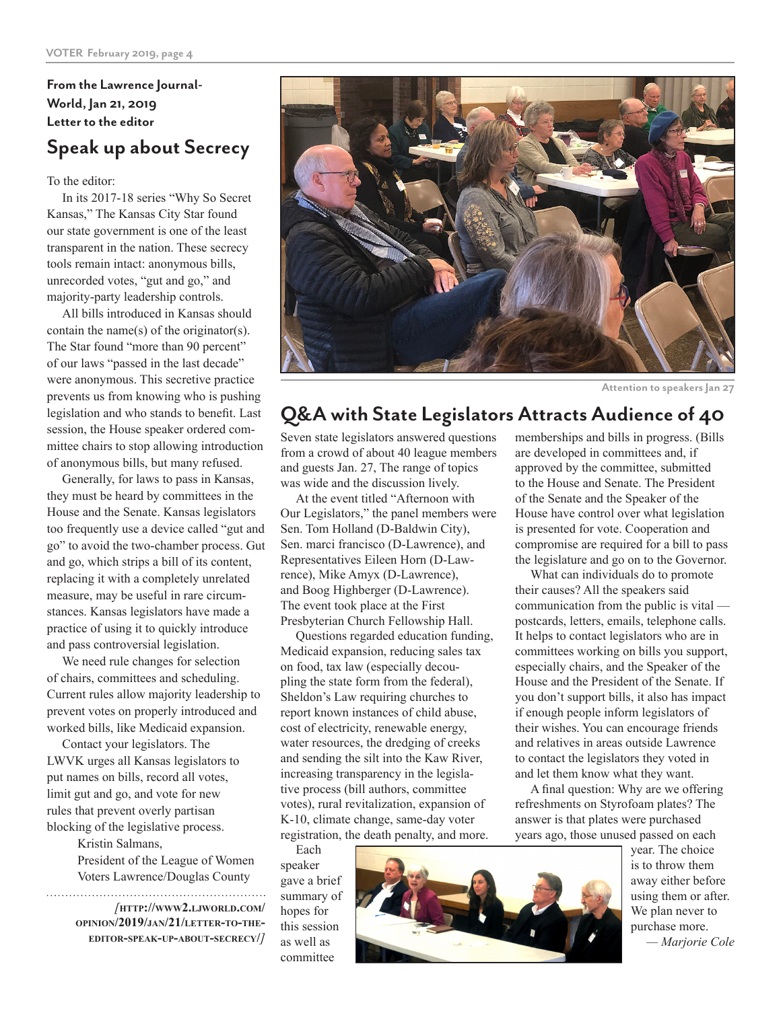**From the Lawrence Journal-World, Jan 21, 2019 Letter to the editor**

# **Speak up about Secrecy**

To the editor:

In its 2017-18 series "Why So Secret Kansas," The Kansas City Star found our state government is one of the least transparent in the nation. These secrecy tools remain intact: anonymous bills, unrecorded votes, "gut and go," and majority-party leadership controls.

All bills introduced in Kansas should contain the name(s) of the originator(s). The Star found "more than 90 percent" of our laws "passed in the last decade" were anonymous. This secretive practice prevents us from knowing who is pushing legislation and who stands to benefit. Last session, the House speaker ordered committee chairs to stop allowing introduction of anonymous bills, but many refused.

Generally, for laws to pass in Kansas, they must be heard by committees in the House and the Senate. Kansas legislators too frequently use a device called "gut and go" to avoid the two-chamber process. Gut and go, which strips a bill of its content, replacing it with a completely unrelated measure, may be useful in rare circumstances. Kansas legislators have made a practice of using it to quickly introduce and pass controversial legislation.

We need rule changes for selection of chairs, committees and scheduling. Current rules allow majority leadership to prevent votes on properly introduced and worked bills, like Medicaid expansion.

Contact your legislators. The LWVK urges all Kansas legislators to put names on bills, record all votes, limit gut and go, and vote for new rules that prevent overly partisan blocking of the legislative process.

Kristin Salmans,

President of the League of Women Voters Lawrence/Douglas County 

*[***http://www2.ljworld.com/ opinion/2019/jan/21/letter-to-theeditor-speak-up-about-secrecy/***]*



**Attention to speakers Jan 27**

# **Q&A with State Legislators Attracts Audience of 40**

Seven state legislators answered questions from a crowd of about 40 league members and guests Jan. 27, The range of topics was wide and the discussion lively.

At the event titled "Afternoon with Our Legislators," the panel members were Sen. Tom Holland (D-Baldwin City), Sen. marci francisco (D-Lawrence), and Representatives Eileen Horn (D-Lawrence), Mike Amyx (D-Lawrence), and Boog Highberger (D-Lawrence). The event took place at the First Presbyterian Church Fellowship Hall.

Questions regarded education funding, Medicaid expansion, reducing sales tax on food, tax law (especially decoupling the state form from the federal), Sheldon's Law requiring churches to report known instances of child abuse, cost of electricity, renewable energy, water resources, the dredging of creeks and sending the silt into the Kaw River, increasing transparency in the legislative process (bill authors, committee votes), rural revitalization, expansion of K-10, climate change, same-day voter registration, the death penalty, and more.

Each speaker gave a brief summary of hopes for this session as well as committee



memberships and bills in progress. (Bills are developed in committees and, if approved by the committee, submitted to the House and Senate. The President of the Senate and the Speaker of the House have control over what legislation is presented for vote. Cooperation and compromise are required for a bill to pass the legislature and go on to the Governor.

What can individuals do to promote their causes? All the speakers said communication from the public is vital postcards, letters, emails, telephone calls. It helps to contact legislators who are in committees working on bills you support, especially chairs, and the Speaker of the House and the President of the Senate. If you don't support bills, it also has impact if enough people inform legislators of their wishes. You can encourage friends and relatives in areas outside Lawrence to contact the legislators they voted in and let them know what they want.

A final question: Why are we offering refreshments on Styrofoam plates? The answer is that plates were purchased years ago, those unused passed on each

year. The choice is to throw them away either before using them or after. We plan never to purchase more. *— Marjorie Cole*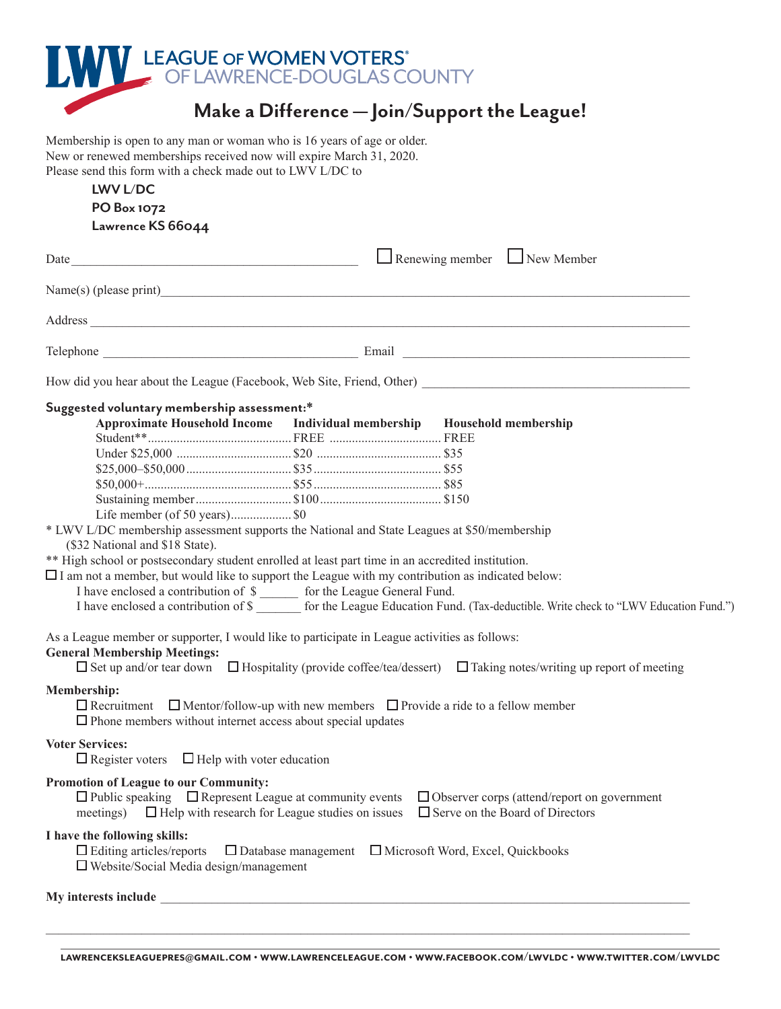

# **Make a Difference — Join/Support the League!**

Membership is open to any man or woman who is 16 years of age or older. New or renewed memberships received now will expire March 31, 2020. Please send this form with a check made out to LWV L/DC to

### **LWV L/DC PO Box 1072 Lawrence KS 66044**

|                                                                                                         |                                                                     | $\Box$ Renewing member $\Box$ New Member                                                                                           |  |  |  |
|---------------------------------------------------------------------------------------------------------|---------------------------------------------------------------------|------------------------------------------------------------------------------------------------------------------------------------|--|--|--|
|                                                                                                         |                                                                     |                                                                                                                                    |  |  |  |
|                                                                                                         |                                                                     |                                                                                                                                    |  |  |  |
|                                                                                                         |                                                                     |                                                                                                                                    |  |  |  |
|                                                                                                         |                                                                     |                                                                                                                                    |  |  |  |
| Suggested voluntary membership assessment:*                                                             |                                                                     |                                                                                                                                    |  |  |  |
| Approximate Household Income Individual membership Household membership                                 |                                                                     |                                                                                                                                    |  |  |  |
|                                                                                                         |                                                                     |                                                                                                                                    |  |  |  |
|                                                                                                         |                                                                     |                                                                                                                                    |  |  |  |
|                                                                                                         |                                                                     |                                                                                                                                    |  |  |  |
|                                                                                                         |                                                                     |                                                                                                                                    |  |  |  |
|                                                                                                         |                                                                     |                                                                                                                                    |  |  |  |
| Life member (of 50 years) \$0                                                                           |                                                                     |                                                                                                                                    |  |  |  |
| * LWV L/DC membership assessment supports the National and State Leagues at \$50/membership             |                                                                     |                                                                                                                                    |  |  |  |
| (\$32 National and \$18 State).                                                                         |                                                                     |                                                                                                                                    |  |  |  |
| ** High school or postsecondary student enrolled at least part time in an accredited institution.       |                                                                     |                                                                                                                                    |  |  |  |
| $\Box$ I am not a member, but would like to support the League with my contribution as indicated below: |                                                                     |                                                                                                                                    |  |  |  |
| I have enclosed a contribution of \$                                                                    |                                                                     |                                                                                                                                    |  |  |  |
|                                                                                                         |                                                                     | I have enclosed a contribution of \$ _______ for the League Education Fund. (Tax-deductible. Write check to "LWV Education Fund.") |  |  |  |
|                                                                                                         |                                                                     |                                                                                                                                    |  |  |  |
| As a League member or supporter, I would like to participate in League activities as follows:           |                                                                     |                                                                                                                                    |  |  |  |
| <b>General Membership Meetings:</b>                                                                     |                                                                     |                                                                                                                                    |  |  |  |
|                                                                                                         |                                                                     | $\Box$ Set up and/or tear down $\Box$ Hospitality (provide coffee/tea/dessert) $\Box$ Taking notes/writing up report of meeting    |  |  |  |
| <b>Membership:</b>                                                                                      |                                                                     |                                                                                                                                    |  |  |  |
| $\Box$ Recruitment $\Box$ Mentor/follow-up with new members $\Box$ Provide a ride to a fellow member    |                                                                     |                                                                                                                                    |  |  |  |
| $\Box$ Phone members without internet access about special updates                                      |                                                                     |                                                                                                                                    |  |  |  |
|                                                                                                         |                                                                     |                                                                                                                                    |  |  |  |
| <b>Voter Services:</b>                                                                                  |                                                                     |                                                                                                                                    |  |  |  |
| $\Box$ Register voters $\Box$ Help with voter education                                                 |                                                                     |                                                                                                                                    |  |  |  |
| <b>Promotion of League to our Community:</b>                                                            |                                                                     |                                                                                                                                    |  |  |  |
|                                                                                                         |                                                                     |                                                                                                                                    |  |  |  |
|                                                                                                         |                                                                     | $\Box$ Public speaking $\Box$ Represent League at community events $\Box$ Observer corps (attend/report on government              |  |  |  |
| $\Box$ Help with research for League studies on issues<br>meetings)                                     |                                                                     | $\Box$ Serve on the Board of Directors                                                                                             |  |  |  |
| I have the following skills:                                                                            |                                                                     |                                                                                                                                    |  |  |  |
| $\Box$ Editing articles/reports                                                                         | $\Box$ Database management $\Box$ Microsoft Word, Excel, Quickbooks |                                                                                                                                    |  |  |  |
| $\Box$ Website/Social Media design/management                                                           |                                                                     |                                                                                                                                    |  |  |  |
|                                                                                                         |                                                                     |                                                                                                                                    |  |  |  |
|                                                                                                         |                                                                     |                                                                                                                                    |  |  |  |
|                                                                                                         |                                                                     |                                                                                                                                    |  |  |  |
|                                                                                                         |                                                                     |                                                                                                                                    |  |  |  |